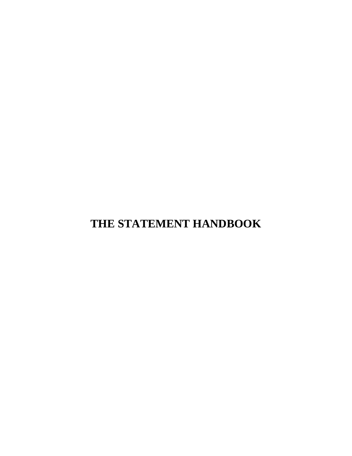**THE STATEMENT HANDBOOK**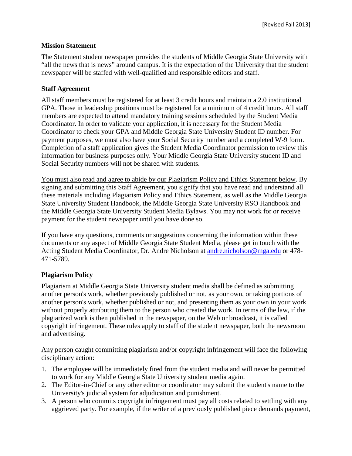### **Mission Statement**

The Statement student newspaper provides the students of Middle Georgia State University with "all the news that is news" around campus. It is the expectation of the University that the student newspaper will be staffed with well-qualified and responsible editors and staff.

### **Staff Agreement**

All staff members must be registered for at least 3 credit hours and maintain a 2.0 institutional GPA. Those in leadership positions must be registered for a minimum of 4 credit hours. All staff members are expected to attend mandatory training sessions scheduled by the Student Media Coordinator. In order to validate your application, it is necessary for the Student Media Coordinator to check your GPA and Middle Georgia State University Student ID number. For payment purposes, we must also have your Social Security number and a completed W-9 form. Completion of a staff application gives the Student Media Coordinator permission to review this information for business purposes only. Your Middle Georgia State University student ID and Social Security numbers will not be shared with students.

You must also read and agree to abide by our Plagiarism Policy and Ethics Statement below. By signing and submitting this Staff Agreement, you signify that you have read and understand all these materials including Plagiarism Policy and Ethics Statement, as well as the Middle Georgia State University Student Handbook, the Middle Georgia State University RSO Handbook and the Middle Georgia State University Student Media Bylaws. You may not work for or receive payment for the student newspaper until you have done so.

If you have any questions, comments or suggestions concerning the information within these documents or any aspect of Middle Georgia State Student Media, please get in touch with the Acting Student Media Coordinator, Dr. Andre Nicholson at [andre.nicholson@mga.edu](mailto:andre.nicholson@mga.edu) or 478- 471-5789.

#### **Plagiarism Policy**

Plagiarism at Middle Georgia State University student media shall be defined as submitting another person's work, whether previously published or not, as your own, or taking portions of another person's work, whether published or not, and presenting them as your own in your work without properly attributing them to the person who created the work. In terms of the law, if the plagiarized work is then published in the newspaper, on the Web or broadcast, it is called copyright infringement. These rules apply to staff of the student newspaper, both the newsroom and advertising.

Any person caught committing plagiarism and/or copyright infringement will face the following disciplinary action:

- 1. The employee will be immediately fired from the student media and will never be permitted to work for any Middle Georgia State University student media again.
- 2. The Editor-in-Chief or any other editor or coordinator may submit the student's name to the University's judicial system for adjudication and punishment.
- 3. A person who commits copyright infringement must pay all costs related to settling with any aggrieved party. For example, if the writer of a previously published piece demands payment,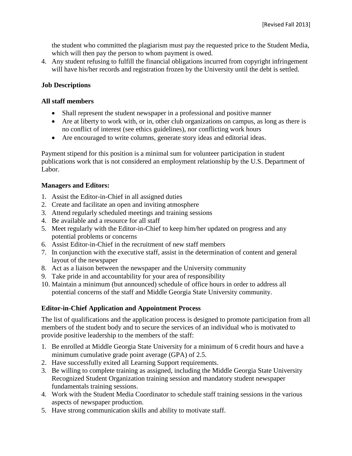the student who committed the plagiarism must pay the requested price to the Student Media, which will then pay the person to whom payment is owed.

4. Any student refusing to fulfill the financial obligations incurred from copyright infringement will have his/her records and registration frozen by the University until the debt is settled.

# **Job Descriptions**

## **All staff members**

- Shall represent the student newspaper in a professional and positive manner
- Are at liberty to work with, or in, other club organizations on campus, as long as there is no conflict of interest (see ethics guidelines), nor conflicting work hours
- Are encouraged to write columns, generate story ideas and editorial ideas.

Payment stipend for this position is a minimal sum for volunteer participation in student publications work that is not considered an employment relationship by the U.S. Department of Labor.

# **Managers and Editors:**

- 1. Assist the Editor-in-Chief in all assigned duties
- 2. Create and facilitate an open and inviting atmosphere
- 3. Attend regularly scheduled meetings and training sessions
- 4. Be available and a resource for all staff
- 5. Meet regularly with the Editor-in-Chief to keep him/her updated on progress and any potential problems or concerns
- 6. Assist Editor-in-Chief in the recruitment of new staff members
- 7. In conjunction with the executive staff, assist in the determination of content and general layout of the newspaper
- 8. Act as a liaison between the newspaper and the University community
- 9. Take pride in and accountability for your area of responsibility
- 10. Maintain a minimum (but announced) schedule of office hours in order to address all potential concerns of the staff and Middle Georgia State University community.

# **Editor-in-Chief Application and Appointment Process**

The list of qualifications and the application process is designed to promote participation from all members of the student body and to secure the services of an individual who is motivated to provide positive leadership to the members of the staff:

- 1. Be enrolled at Middle Georgia State University for a minimum of 6 credit hours and have a minimum cumulative grade point average (GPA) of 2.5.
- 2. Have successfully exited all Learning Support requirements.
- 3. Be willing to complete training as assigned, including the Middle Georgia State University Recognized Student Organization training session and mandatory student newspaper fundamentals training sessions.
- 4. Work with the Student Media Coordinator to schedule staff training sessions in the various aspects of newspaper production.
- 5. Have strong communication skills and ability to motivate staff.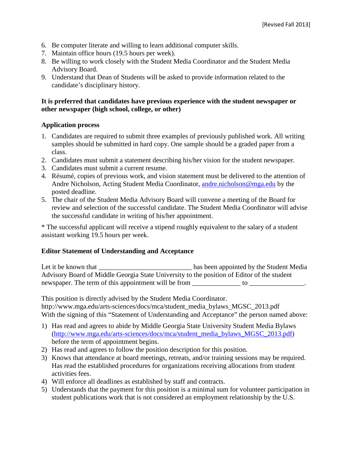- 6. Be computer literate and willing to learn additional computer skills.
- 7. Maintain office hours (19.5 hours per week).
- 8. Be willing to work closely with the Student Media Coordinator and the Student Media Advisory Board.
- 9. Understand that Dean of Students will be asked to provide information related to the candidate's disciplinary history.

#### **It is preferred that candidates have previous experience with the student newspaper or other newspaper (high school, college, or other)**

### **Application process**

- 1. Candidates are required to submit three examples of previously published work. All writing samples should be submitted in hard copy. One sample should be a graded paper from a class.
- 2. Candidates must submit a statement describing his/her vision for the student newspaper.
- 3. Candidates must submit a current resume.
- 4. Résumé, copies of previous work, and vision statement must be delivered to the attention of Andre Nicholson, Acting Student Media Coordinator, [andre.nicholson@mga.edu](mailto:andre.nicholson@mga.edu) by the posted deadline.
- 5. The chair of the Student Media Advisory Board will convene a meeting of the Board for review and selection of the successful candidate. The Student Media Coordinator will advise the successful candidate in writing of his/her appointment.

\* The successful applicant will receive a stipend roughly equivalent to the salary of a student assistant working 19.5 hours per week.

#### **Editor Statement of Understanding and Acceptance**

Let it be known that \_\_\_\_\_\_\_\_\_\_\_\_\_\_\_\_\_\_\_\_\_\_\_\_\_\_\_ has been appointed by the Student Media Advisory Board of Middle Georgia State University to the position of Editor of the student newspaper. The term of this appointment will be from \_\_\_\_\_\_\_\_\_\_\_\_\_\_\_ to \_\_\_\_\_\_\_\_\_\_\_\_\_\_.

This position is directly advised by the Student Media Coordinator. http://www.mga.edu/arts-sciences/docs/mca/student\_media\_bylaws\_MGSC\_2013.pdf With the signing of this "Statement of Understanding and Acceptance" the person named above:

- 1) Has read and agrees to abide by Middle Georgia State University Student Media Bylaws [\(http://www.mga.edu/arts-sciences/docs/mca/student\\_media\\_bylaws\\_MGSC\\_2013.pdf\)](http://www.mga.edu/arts-sciences/docs/mca/student_media_bylaws_MGSC_2013.pdf) before the term of appointment begins.
- 2) Has read and agrees to follow the position description for this position.
- 3) Knows that attendance at board meetings, retreats, and/or training sessions may be required. Has read the established procedures for organizations receiving allocations from student activities fees.
- 4) Will enforce all deadlines as established by staff and contracts.
- 5) Understands that the payment for this position is a minimal sum for volunteer participation in student publications work that is not considered an employment relationship by the U.S.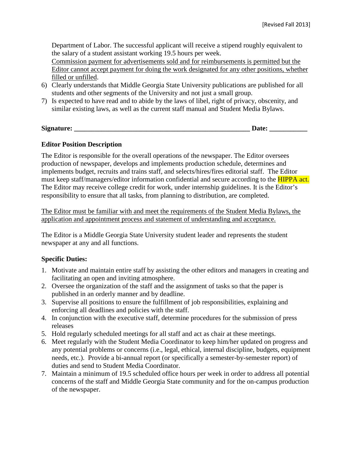Department of Labor. The successful applicant will receive a stipend roughly equivalent to the salary of a student assistant working 19.5 hours per week.

Commission payment for advertisements sold and for reimbursements is permitted but the Editor cannot accept payment for doing the work designated for any other positions, whether filled or unfilled.

- 6) Clearly understands that Middle Georgia State University publications are published for all students and other segments of the University and not just a small group.
- 7) Is expected to have read and to abide by the laws of libel, right of privacy, obscenity, and similar existing laws, as well as the current staff manual and Student Media Bylaws.

| Signature: | Jate: |  |
|------------|-------|--|
|            |       |  |

## **Editor Position Description**

The Editor is responsible for the overall operations of the newspaper. The Editor oversees production of newspaper, develops and implements production schedule, determines and implements budget, recruits and trains staff, and selects/hires/fires editorial staff. The Editor must keep staff/managers/editor information confidential and secure according to the **HIPPA act.** The Editor may receive college credit for work, under internship guidelines. It is the Editor's responsibility to ensure that all tasks, from planning to distribution, are completed.

The Editor must be familiar with and meet the requirements of the Student Media Bylaws, the application and appointment process and statement of understanding and acceptance.

The Editor is a Middle Georgia State University student leader and represents the student newspaper at any and all functions.

## **Specific Duties:**

- 1. Motivate and maintain entire staff by assisting the other editors and managers in creating and facilitating an open and inviting atmosphere.
- 2. Oversee the organization of the staff and the assignment of tasks so that the paper is published in an orderly manner and by deadline.
- 3. Supervise all positions to ensure the fulfillment of job responsibilities, explaining and enforcing all deadlines and policies with the staff.
- 4. In conjunction with the executive staff, determine procedures for the submission of press releases
- 5. Hold regularly scheduled meetings for all staff and act as chair at these meetings.
- 6. Meet regularly with the Student Media Coordinator to keep him/her updated on progress and any potential problems or concerns (i.e., legal, ethical, internal discipline, budgets, equipment needs, etc.). Provide a bi-annual report (or specifically a semester-by-semester report) of duties and send to Student Media Coordinator.
- 7. Maintain a minimum of 19.5 scheduled office hours per week in order to address all potential concerns of the staff and Middle Georgia State community and for the on-campus production of the newspaper.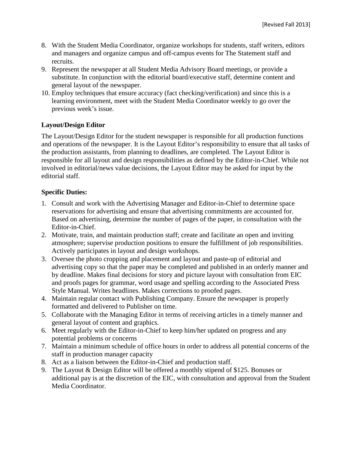- 8. With the Student Media Coordinator, organize workshops for students, staff writers, editors and managers and organize campus and off-campus events for The Statement staff and recruits.
- 9. Represent the newspaper at all Student Media Advisory Board meetings, or provide a substitute. In conjunction with the editorial board/executive staff, determine content and general layout of the newspaper.
- 10. Employ techniques that ensure accuracy (fact checking/verification) and since this is a learning environment, meet with the Student Media Coordinator weekly to go over the previous week's issue.

### **Layout/Design Editor**

The Layout/Design Editor for the student newspaper is responsible for all production functions and operations of the newspaper. It is the Layout Editor's responsibility to ensure that all tasks of the production assistants, from planning to deadlines, are completed. The Layout Editor is responsible for all layout and design responsibilities as defined by the Editor-in-Chief. While not involved in editorial/news value decisions, the Layout Editor may be asked for input by the editorial staff.

#### **Specific Duties:**

- 1. Consult and work with the Advertising Manager and Editor-in-Chief to determine space reservations for advertising and ensure that advertising commitments are accounted for. Based on advertising, determine the number of pages of the paper, in consultation with the Editor-in-Chief.
- 2. Motivate, train, and maintain production staff; create and facilitate an open and inviting atmosphere; supervise production positions to ensure the fulfillment of job responsibilities. Actively participates in layout and design workshops.
- 3. Oversee the photo cropping and placement and layout and paste-up of editorial and advertising copy so that the paper may be completed and published in an orderly manner and by deadline. Makes final decisions for story and picture layout with consultation from EIC and proofs pages for grammar, word usage and spelling according to the Associated Press Style Manual. Writes headlines. Makes corrections to proofed pages.
- 4. Maintain regular contact with Publishing Company. Ensure the newspaper is properly formatted and delivered to Publisher on time.
- 5. Collaborate with the Managing Editor in terms of receiving articles in a timely manner and general layout of content and graphics.
- 6. Meet regularly with the Editor-in-Chief to keep him/her updated on progress and any potential problems or concerns
- 7. Maintain a minimum schedule of office hours in order to address all potential concerns of the staff in production manager capacity
- 8. Act as a liaison between the Editor-in-Chief and production staff.
- 9. The Layout & Design Editor will be offered a monthly stipend of \$125. Bonuses or additional pay is at the discretion of the EIC, with consultation and approval from the Student Media Coordinator.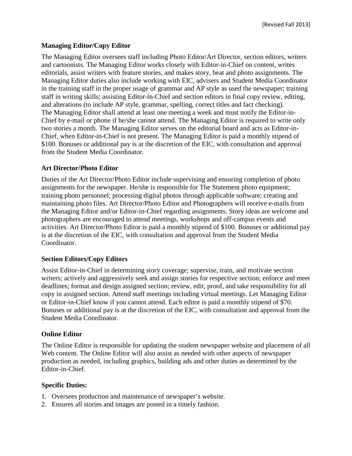### **Managing Editor/Copy Editor**

The Managing Editor oversees staff including Photo Editor/Art Director, section editors, writers and cartoonists. The Managing Editor works closely with Editor-in-Chief on content, writes editorials, assist writers with feature stories, and makes story, beat and photo assignments. The Managing Editor duties also include working with EIC, advisers and Student Media Coordinator in the training staff in the proper usage of grammar and AP style as used the newspaper; training staff in writing skills; assisting Editor-in-Chief and section editors in final copy review, editing, and alterations (to include AP style, grammar, spelling, correct titles and fact checking). The Managing Editor shall attend at least one meeting a week and must notify the Editor-in-Chief by e-mail or phone if he/she cannot attend. The Managing Editor is required to write only two stories a month. The Managing Editor serves on the editorial board and acts as Editor-in-Chief, when Editor-in-Chief is not present. The Managing Editor is paid a monthly stipend of \$100. Bonuses or additional pay is at the discretion of the EIC, with consultation and approval from the Student Media Coordinator.

### **Art Director/Photo Editor**

Duties of the Art Director/Photo Editor include supervising and ensuring completion of photo assignments for the newspaper. He/she is responsible for The Statement photo equipment; training photo personnel; processing digital photos through applicable software; creating and maintaining photo files. Art Director/Photo Editor and Photographers will receive e-mails from the Managing Editor and/or Editor-in-Chief regarding assignments. Story ideas are welcome and photographers are encouraged to attend meetings, workshops and off-campus events and activities. Art Director/Photo Editor is paid a monthly stipend of \$100. Bonuses or additional pay is at the discretion of the EIC, with consultation and approval from the Student Media Coordinator.

#### **Section Editors/Copy Editors**

Assist Editor-in-Chief in determining story coverage; supervise, train, and motivate section writers; actively and aggressively seek and assign stories for respective section; enforce and meet deadlines; format and design assigned section; review, edit, proof, and take responsibility for all copy in assigned section. Attend staff meetings including virtual meetings. Let Managing Editor or Editor-in-Chief know if you cannot attend. Each editor is paid a monthly stipend of \$70. Bonuses or additional pay is at the discretion of the EIC, with consultation and approval from the Student Media Coordinator.

## **Online Editor**

The Online Editor is responsible for updating the student newspaper website and placement of all Web content. The Online Editor will also assist as needed with other aspects of newspaper production as needed, including graphics, building ads and other duties as determined by the Editor-in-Chief.

#### **Specific Duties:**

- 1. Oversees production and maintenance of newspaper's website.
- 2. Ensures all stories and images are posted in a timely fashion.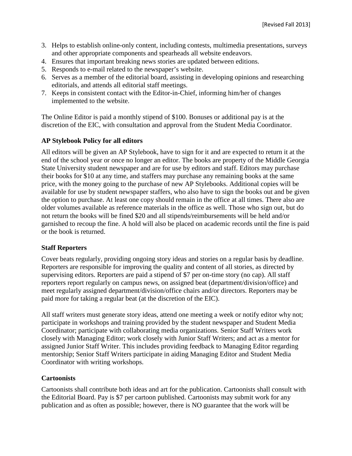- 3. Helps to establish online-only content, including contests, multimedia presentations, surveys and other appropriate components and spearheads all website endeavors.
- 4. Ensures that important breaking news stories are updated between editions.
- 5. Responds to e-mail related to the newspaper's website.
- 6. Serves as a member of the editorial board, assisting in developing opinions and researching editorials, and attends all editorial staff meetings.
- 7. Keeps in consistent contact with the Editor-in-Chief, informing him/her of changes implemented to the website.

The Online Editor is paid a monthly stipend of \$100. Bonuses or additional pay is at the discretion of the EIC, with consultation and approval from the Student Media Coordinator.

## **AP Stylebook Policy for all editors**

All editors will be given an AP Stylebook, have to sign for it and are expected to return it at the end of the school year or once no longer an editor. The books are property of the Middle Georgia State University student newspaper and are for use by editors and staff. Editors may purchase their books for \$10 at any time, and staffers may purchase any remaining books at the same price, with the money going to the purchase of new AP Stylebooks. Additional copies will be available for use by student newspaper staffers, who also have to sign the books out and be given the option to purchase. At least one copy should remain in the office at all times. There also are older volumes available as reference materials in the office as well. Those who sign out, but do not return the books will be fined \$20 and all stipends/reimbursements will be held and/or garnished to recoup the fine. A hold will also be placed on academic records until the fine is paid or the book is returned.

#### **Staff Reporters**

Cover beats regularly, providing ongoing story ideas and stories on a regular basis by deadline. Reporters are responsible for improving the quality and content of all stories, as directed by supervising editors. Reporters are paid a stipend of \$7 per on-time story (no cap). All staff reporters report regularly on campus news, on assigned beat (department/division/office) and meet regularly assigned department/division/office chairs and/or directors. Reporters may be paid more for taking a regular beat (at the discretion of the EIC).

All staff writers must generate story ideas, attend one meeting a week or notify editor why not; participate in workshops and training provided by the student newspaper and Student Media Coordinator; participate with collaborating media organizations. Senior Staff Writers work closely with Managing Editor; work closely with Junior Staff Writers; and act as a mentor for assigned Junior Staff Writer. This includes providing feedback to Managing Editor regarding mentorship; Senior Staff Writers participate in aiding Managing Editor and Student Media Coordinator with writing workshops.

#### **Cartoonists**

Cartoonists shall contribute both ideas and art for the publication. Cartoonists shall consult with the Editorial Board. Pay is \$7 per cartoon published. Cartoonists may submit work for any publication and as often as possible; however, there is NO guarantee that the work will be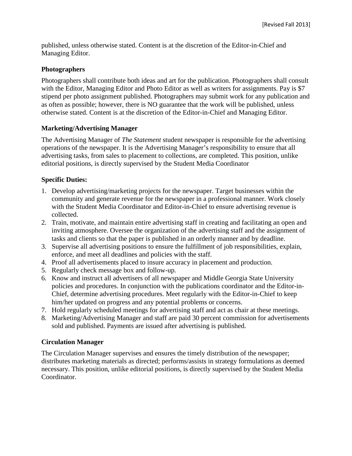published, unless otherwise stated. Content is at the discretion of the Editor-in-Chief and Managing Editor.

### **Photographers**

Photographers shall contribute both ideas and art for the publication. Photographers shall consult with the Editor, Managing Editor and Photo Editor as well as writers for assignments. Pay is \$7 stipend per photo assignment published. Photographers may submit work for any publication and as often as possible; however, there is NO guarantee that the work will be published, unless otherwise stated. Content is at the discretion of the Editor-in-Chief and Managing Editor.

### **Marketing/Advertising Manager**

The Advertising Manager of *The Statement* student newspaper is responsible for the advertising operations of the newspaper. It is the Advertising Manager's responsibility to ensure that all advertising tasks, from sales to placement to collections, are completed. This position, unlike editorial positions, is directly supervised by the Student Media Coordinator

### **Specific Duties:**

- 1. Develop advertising/marketing projects for the newspaper. Target businesses within the community and generate revenue for the newspaper in a professional manner. Work closely with the Student Media Coordinator and Editor-in-Chief to ensure advertising revenue is collected.
- 2. Train, motivate, and maintain entire advertising staff in creating and facilitating an open and inviting atmosphere. Oversee the organization of the advertising staff and the assignment of tasks and clients so that the paper is published in an orderly manner and by deadline.
- 3. Supervise all advertising positions to ensure the fulfillment of job responsibilities, explain, enforce, and meet all deadlines and policies with the staff.
- 4. Proof all advertisements placed to insure accuracy in placement and production.
- 5. Regularly check message box and follow-up.
- 6. Know and instruct all advertisers of all newspaper and Middle Georgia State University policies and procedures. In conjunction with the publications coordinator and the Editor-in-Chief, determine advertising procedures. Meet regularly with the Editor-in-Chief to keep him/her updated on progress and any potential problems or concerns.
- 7. Hold regularly scheduled meetings for advertising staff and act as chair at these meetings.
- 8. Marketing/Advertising Manager and staff are paid 30 percent commission for advertisements sold and published. Payments are issued after advertising is published.

## **Circulation Manager**

The Circulation Manager supervises and ensures the timely distribution of the newspaper; distributes marketing materials as directed; performs/assists in strategy formulations as deemed necessary. This position, unlike editorial positions, is directly supervised by the Student Media Coordinator.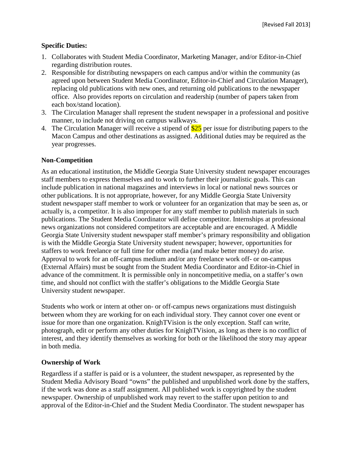## **Specific Duties:**

- 1. Collaborates with Student Media Coordinator, Marketing Manager, and/or Editor-in-Chief regarding distribution routes.
- 2. Responsible for distributing newspapers on each campus and/or within the community (as agreed upon between Student Media Coordinator, Editor-in-Chief and Circulation Manager), replacing old publications with new ones, and returning old publications to the newspaper office. Also provides reports on circulation and readership (number of papers taken from each box/stand location).
- 3. The Circulation Manager shall represent the student newspaper in a professional and positive manner, to include not driving on campus walkways.
- 4. The Circulation Manager will receive a stipend of  $$25$  per issue for distributing papers to the Macon Campus and other destinations as assigned. Additional duties may be required as the year progresses.

### **Non-Competition**

As an educational institution, the Middle Georgia State University student newspaper encourages staff members to express themselves and to work to further their journalistic goals. This can include publication in national magazines and interviews in local or national news sources or other publications. It is not appropriate, however, for any Middle Georgia State University student newspaper staff member to work or volunteer for an organization that may be seen as, or actually is, a competitor. It is also improper for any staff member to publish materials in such publications. The Student Media Coordinator will define competitor. Internships at professional news organizations not considered competitors are acceptable and are encouraged. A Middle Georgia State University student newspaper staff member's primary responsibility and obligation is with the Middle Georgia State University student newspaper; however, opportunities for staffers to work freelance or full time for other media (and make better money) do arise. Approval to work for an off-campus medium and/or any freelance work off- or on-campus (External Affairs) must be sought from the Student Media Coordinator and Editor-in-Chief in advance of the commitment. It is permissible only in noncompetitive media, on a staffer's own time, and should not conflict with the staffer's obligations to the Middle Georgia State University student newspaper.

Students who work or intern at other on- or off-campus news organizations must distinguish between whom they are working for on each individual story. They cannot cover one event or issue for more than one organization. KnighTVision is the only exception. Staff can write, photograph, edit or perform any other duties for KnighTVision, as long as there is no conflict of interest, and they identify themselves as working for both or the likelihood the story may appear in both media.

## **Ownership of Work**

Regardless if a staffer is paid or is a volunteer, the student newspaper, as represented by the Student Media Advisory Board "owns" the published and unpublished work done by the staffers, if the work was done as a staff assignment. All published work is copyrighted by the student newspaper. Ownership of unpublished work may revert to the staffer upon petition to and approval of the Editor-in-Chief and the Student Media Coordinator. The student newspaper has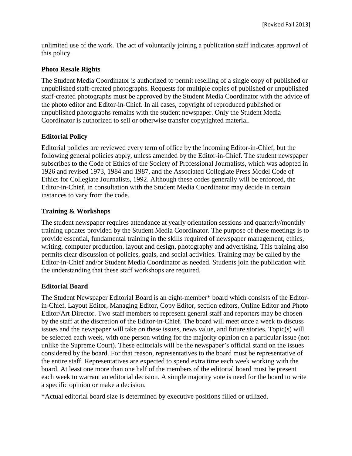unlimited use of the work. The act of voluntarily joining a publication staff indicates approval of this policy.

#### **Photo Resale Rights**

The Student Media Coordinator is authorized to permit reselling of a single copy of published or unpublished staff-created photographs. Requests for multiple copies of published or unpublished staff-created photographs must be approved by the Student Media Coordinator with the advice of the photo editor and Editor-in-Chief. In all cases, copyright of reproduced published or unpublished photographs remains with the student newspaper. Only the Student Media Coordinator is authorized to sell or otherwise transfer copyrighted material.

## **Editorial Policy**

Editorial policies are reviewed every term of office by the incoming Editor-in-Chief, but the following general policies apply, unless amended by the Editor-in-Chief. The student newspaper subscribes to the Code of Ethics of the Society of Professional Journalists, which was adopted in 1926 and revised 1973, 1984 and 1987, and the Associated Collegiate Press Model Code of Ethics for Collegiate Journalists, 1992. Although these codes generally will be enforced, the Editor-in-Chief, in consultation with the Student Media Coordinator may decide in certain instances to vary from the code.

## **Training & Workshops**

The student newspaper requires attendance at yearly orientation sessions and quarterly/monthly training updates provided by the Student Media Coordinator. The purpose of these meetings is to provide essential, fundamental training in the skills required of newspaper management, ethics, writing, computer production, layout and design, photography and advertising. This training also permits clear discussion of policies, goals, and social activities. Training may be called by the Editor-in-Chief and/or Student Media Coordinator as needed. Students join the publication with the understanding that these staff workshops are required.

## **Editorial Board**

The Student Newspaper Editorial Board is an eight-member\* board which consists of the Editorin-Chief, Layout Editor, Managing Editor, Copy Editor, section editors, Online Editor and Photo Editor/Art Director. Two staff members to represent general staff and reporters may be chosen by the staff at the discretion of the Editor-in-Chief. The board will meet once a week to discuss issues and the newspaper will take on these issues, news value, and future stories. Topic(s) will be selected each week, with one person writing for the majority opinion on a particular issue (not unlike the Supreme Court). These editorials will be the newspaper's official stand on the issues considered by the board. For that reason, representatives to the board must be representative of the entire staff. Representatives are expected to spend extra time each week working with the board. At least one more than one half of the members of the editorial board must be present each week to warrant an editorial decision. A simple majority vote is need for the board to write a specific opinion or make a decision.

\*Actual editorial board size is determined by executive positions filled or utilized.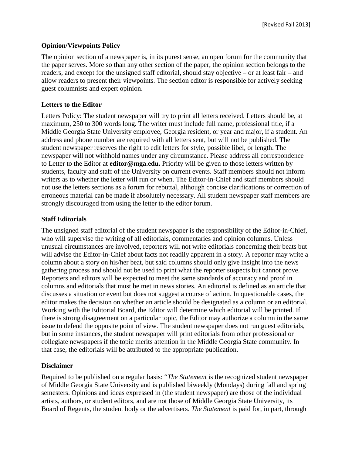### **Opinion/Viewpoints Policy**

The opinion section of a newspaper is, in its purest sense, an open forum for the community that the paper serves. More so than any other section of the paper, the opinion section belongs to the readers, and except for the unsigned staff editorial, should stay objective – or at least fair – and allow readers to present their viewpoints. The section editor is responsible for actively seeking guest columnists and expert opinion.

### **Letters to the Editor**

Letters Policy: The student newspaper will try to print all letters received. Letters should be, at maximum, 250 to 300 words long. The writer must include full name, professional title, if a Middle Georgia State University employee, Georgia resident, or year and major, if a student. An address and phone number are required with all letters sent, but will not be published. The student newspaper reserves the right to edit letters for style, possible libel, or length. The newspaper will not withhold names under any circumstance. Please address all correspondence to Letter to the Editor at **editor@mga.edu.** Priority will be given to those letters written by students, faculty and staff of the University on current events. Staff members should not inform writers as to whether the letter will run or when. The Editor-in-Chief and staff members should not use the letters sections as a forum for rebuttal, although concise clarifications or correction of erroneous material can be made if absolutely necessary. All student newspaper staff members are strongly discouraged from using the letter to the editor forum.

### **Staff Editorials**

The unsigned staff editorial of the student newspaper is the responsibility of the Editor-in-Chief, who will supervise the writing of all editorials, commentaries and opinion columns. Unless unusual circumstances are involved, reporters will not write editorials concerning their beats but will advise the Editor-in-Chief about facts not readily apparent in a story. A reporter may write a column about a story on his/her beat, but said columns should only give insight into the news gathering process and should not be used to print what the reporter suspects but cannot prove. Reporters and editors will be expected to meet the same standards of accuracy and proof in columns and editorials that must be met in news stories. An editorial is defined as an article that discusses a situation or event but does not suggest a course of action. In questionable cases, the editor makes the decision on whether an article should be designated as a column or an editorial. Working with the Editorial Board, the Editor will determine which editorial will be printed. If there is strong disagreement on a particular topic, the Editor may authorize a column in the same issue to defend the opposite point of view. The student newspaper does not run guest editorials, but in some instances, the student newspaper will print editorials from other professional or collegiate newspapers if the topic merits attention in the Middle Georgia State community. In that case, the editorials will be attributed to the appropriate publication.

## **Disclaimer**

Required to be published on a regular basis: "*The Statement* is the recognized student newspaper of Middle Georgia State University and is published biweekly (Mondays) during fall and spring semesters. Opinions and ideas expressed in (the student newspaper) are those of the individual artists, authors, or student editors, and are not those of Middle Georgia State University, its Board of Regents, the student body or the advertisers. *The Statement* is paid for, in part, through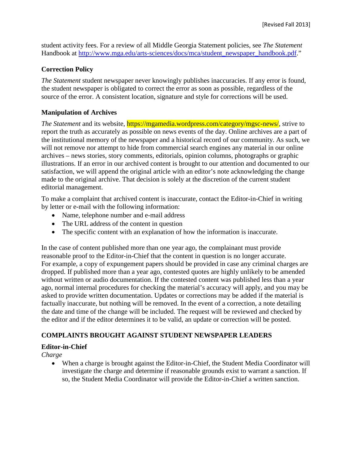student activity fees. For a review of all Middle Georgia Statement policies, see *The Statement*  Handbook at [http://www.mga.edu/arts-sciences/docs/mca/student\\_newspaper\\_handbook.pdf.](http://www.mga.edu/arts-sciences/docs/mca/student_newspaper_handbook.pdf)"

## **Correction Policy**

*The Statement* student newspaper never knowingly publishes inaccuracies. If any error is found, the student newspaper is obligated to correct the error as soon as possible, regardless of the source of the error. A consistent location, signature and style for corrections will be used.

## **Manipulation of Archives**

*The Statement* and its website, **https://mgamedia.wordpress.com/category/mgsc-news/**, strive to report the truth as accurately as possible on news events of the day. Online archives are a part of the institutional memory of the newspaper and a historical record of our community. As such, we will not remove nor attempt to hide from commercial search engines any material in our online archives – news stories, story comments, editorials, opinion columns, photographs or graphic illustrations. If an error in our archived content is brought to our attention and documented to our satisfaction, we will append the original article with an editor's note acknowledging the change made to the original archive. That decision is solely at the discretion of the current student editorial management.

To make a complaint that archived content is inaccurate, contact the Editor-in-Chief in writing by letter or e-mail with the following information:

- Name, telephone number and e-mail address
- The URL address of the content in question
- The specific content with an explanation of how the information is inaccurate.

In the case of content published more than one year ago, the complainant must provide reasonable proof to the Editor-in-Chief that the content in question is no longer accurate. For example, a copy of expungement papers should be provided in case any criminal charges are dropped. If published more than a year ago, contested quotes are highly unlikely to be amended without written or audio documentation. If the contested content was published less than a year ago, normal internal procedures for checking the material's accuracy will apply, and you may be asked to provide written documentation. Updates or corrections may be added if the material is factually inaccurate, but nothing will be removed. In the event of a correction, a note detailing the date and time of the change will be included. The request will be reviewed and checked by the editor and if the editor determines it to be valid, an update or correction will be posted.

## **COMPLAINTS BROUGHT AGAINST STUDENT NEWSPAPER LEADERS**

## **Editor-in-Chief**

*Charge* 

• When a charge is brought against the Editor-in-Chief, the Student Media Coordinator will investigate the charge and determine if reasonable grounds exist to warrant a sanction. If so, the Student Media Coordinator will provide the Editor-in-Chief a written sanction.